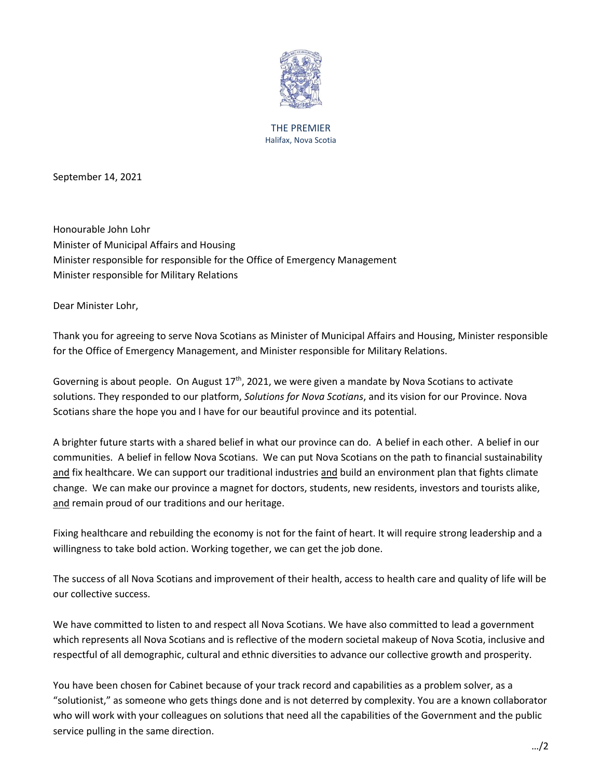

## THE PREMIER Halifax, Nova Scotia

September 14, 2021

Honourable John Lohr Minister of Municipal Affairs and Housing Minister responsible for responsible for the Office of Emergency Management Minister responsible for Military Relations

Dear Minister Lohr,

Thank you for agreeing to serve Nova Scotians as Minister of Municipal Affairs and Housing, Minister responsible for the Office of Emergency Management, and Minister responsible for Military Relations.

Governing is about people. On August  $17<sup>th</sup>$ , 2021, we were given a mandate by Nova Scotians to activate solutions. They responded to our platform, *Solutions for Nova Scotians*, and its vision for our Province. Nova Scotians share the hope you and I have for our beautiful province and its potential.

A brighter future starts with a shared belief in what our province can do. A belief in each other. A belief in our communities. A belief in fellow Nova Scotians. We can put Nova Scotians on the path to financial sustainability and fix healthcare. We can support our traditional industries and build an environment plan that fights climate change. We can make our province a magnet for doctors, students, new residents, investors and tourists alike, and remain proud of our traditions and our heritage.

Fixing healthcare and rebuilding the economy is not for the faint of heart. It will require strong leadership and a willingness to take bold action. Working together, we can get the job done.

The success of all Nova Scotians and improvement of their health, access to health care and quality of life will be our collective success.

We have committed to listen to and respect all Nova Scotians. We have also committed to lead a government which represents all Nova Scotians and is reflective of the modern societal makeup of Nova Scotia, inclusive and respectful of all demographic, cultural and ethnic diversities to advance our collective growth and prosperity.

You have been chosen for Cabinet because of your track record and capabilities as a problem solver, as a "solutionist," as someone who gets things done and is not deterred by complexity. You are a known collaborator who will work with your colleagues on solutions that need all the capabilities of the Government and the public service pulling in the same direction.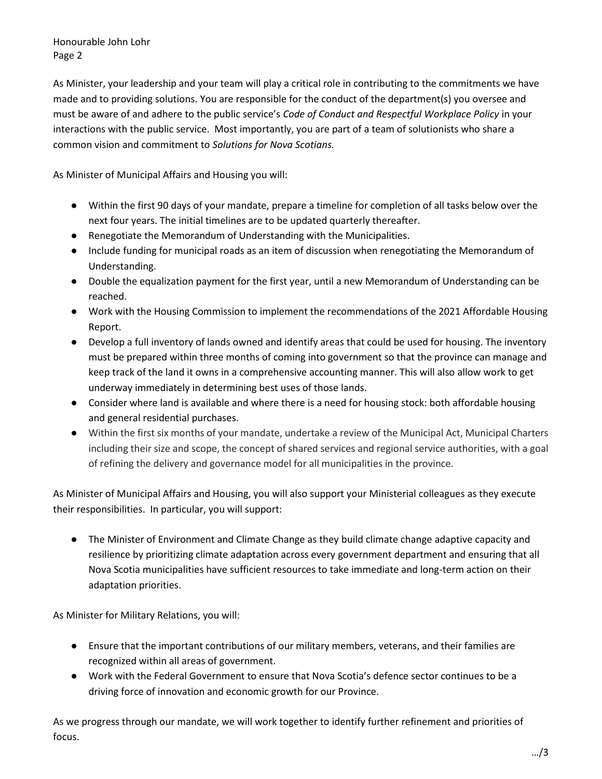Honourable John Lohr Page 2

As Minister, your leadership and your team will play a critical role in contributing to the commitments we have made and to providing solutions. You are responsible for the conduct of the department(s) you oversee and must be aware of and adhere to the public service's *Code of Conduct and Respectful Workplace Policy* in your interactions with the public service. Most importantly, you are part of a team of solutionists who share a common vision and commitment to *Solutions for Nova Scotians.*

As Minister of Municipal Affairs and Housing you will:

- Within the first 90 days of your mandate, prepare a timeline for completion of all tasks below over the next four years. The initial timelines are to be updated quarterly thereafter.
- Renegotiate the Memorandum of Understanding with the Municipalities.
- Include funding for municipal roads as an item of discussion when renegotiating the Memorandum of Understanding.
- Double the equalization payment for the first year, until a new Memorandum of Understanding can be reached.
- Work with the Housing Commission to implement the recommendations of the 2021 Affordable Housing Report.
- Develop a full inventory of lands owned and identify areas that could be used for housing. The inventory must be prepared within three months of coming into government so that the province can manage and keep track of the land it owns in a comprehensive accounting manner. This will also allow work to get underway immediately in determining best uses of those lands.
- Consider where land is available and where there is a need for housing stock: both affordable housing and general residential purchases.
- Within the first six months of your mandate, undertake a review of the Municipal Act, Municipal Charters including their size and scope, the concept of shared services and regional service authorities, with a goal of refining the delivery and governance model for all municipalities in the province.

As Minister of Municipal Affairs and Housing, you will also support your Ministerial colleagues as they execute their responsibilities. In particular, you will support:

● The Minister of Environment and Climate Change as they build climate change adaptive capacity and resilience by prioritizing climate adaptation across every government department and ensuring that all Nova Scotia municipalities have sufficient resources to take immediate and long-term action on their adaptation priorities.

As Minister for Military Relations, you will:

- Ensure that the important contributions of our military members, veterans, and their families are recognized within all areas of government.
- Work with the Federal Government to ensure that Nova Scotia's defence sector continues to be a driving force of innovation and economic growth for our Province.

As we progress through our mandate, we will work together to identify further refinement and priorities of focus.